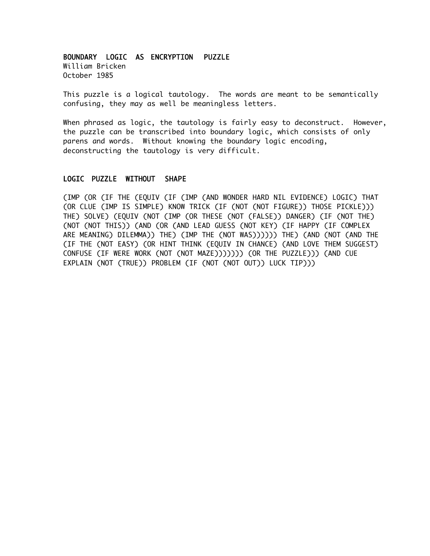## BOUNDARY LOGIC AS ENCRYPTION PUZZLE

William Bricken October 1985

This puzzle is a logical tautology. The words are meant to be semantically confusing, they may as well be meaningless letters.

When phrased as logic, the tautology is fairly easy to deconstruct. However, the puzzle can be transcribed into boundary logic, which consists of only parens and words. Without knowing the boundary logic encoding, deconstructing the tautology is very difficult.

## LOGIC PUZZLE WITHOUT SHAPE

(IMP (OR (IF THE (EQUIV (IF (IMP (AND WONDER HARD NIL EVIDENCE) LOGIC) THAT (OR CLUE (IMP IS SIMPLE) KNOW TRICK (IF (NOT (NOT FIGURE)) THOSE PICKLE))) THE) SOLVE) (EQUIV (NOT (IMP (OR THESE (NOT (FALSE)) DANGER) (IF (NOT THE) (NOT (NOT THIS)) (AND (OR (AND LEAD GUESS (NOT KEY) (IF HAPPY (IF COMPLEX ARE MEANING) DILEMMA)) THE) (IMP THE (NOT WAS)))))) THE) (AND (NOT (AND THE (IF THE (NOT EASY) (OR HINT THINK (EQUIV IN CHANCE) (AND LOVE THEM SUGGEST) CONFUSE (IF WERE WORK (NOT (NOT MAZE))))))) (OR THE PUZZLE))) (AND CUE EXPLAIN (NOT (TRUE)) PROBLEM (IF (NOT (NOT OUT)) LUCK TIP)))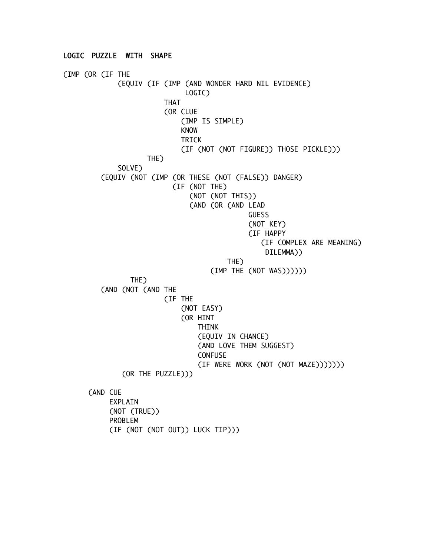(IMP (OR (IF THE (EQUIV (IF (IMP (AND WONDER HARD NIL EVIDENCE) LOGIC) THAT (OR CLUE (IMP IS SIMPLE) KNOW TRICK (IF (NOT (NOT FIGURE)) THOSE PICKLE))) THE) SOLVE) (EQUIV (NOT (IMP (OR THESE (NOT (FALSE)) DANGER) (IF (NOT THE) (NOT (NOT THIS)) (AND (OR (AND LEAD GUESS (NOT KEY) (IF HAPPY (IF COMPLEX ARE MEANING) DILEMMA)) THE) (IMP THE (NOT WAS)))))) THE) (AND (NOT (AND THE (IF THE (NOT EASY) (OR HINT THINK (EQUIV IN CHANCE) (AND LOVE THEM SUGGEST) CONFUSE (IF WERE WORK (NOT (NOT MAZE))))))) (OR THE PUZZLE))) (AND CUE EXPLAIN (NOT (TRUE)) PROBLEM (IF (NOT (NOT OUT)) LUCK TIP)))

LOGIC PUZZLE WITH SHAPE